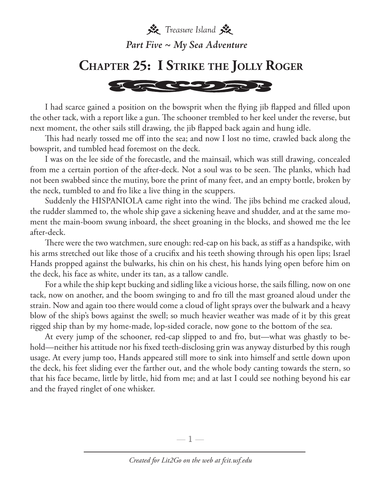**茶** Treasure Island *Part Five ~ My Sea Adventure*

## **Chapter 25: I Strike the Jolly Roger**



I had scarce gained a position on the bowsprit when the flying jib flapped and filled upon the other tack, with a report like a gun. The schooner trembled to her keel under the reverse, but next moment, the other sails still drawing, the jib flapped back again and hung idle.

This had nearly tossed me off into the sea; and now I lost no time, crawled back along the bowsprit, and tumbled head foremost on the deck.

I was on the lee side of the forecastle, and the mainsail, which was still drawing, concealed from me a certain portion of the after-deck. Not a soul was to be seen. The planks, which had not been swabbed since the mutiny, bore the print of many feet, and an empty bottle, broken by the neck, tumbled to and fro like a live thing in the scuppers.

Suddenly the HISPANIOLA came right into the wind. The jibs behind me cracked aloud, the rudder slammed to, the whole ship gave a sickening heave and shudder, and at the same moment the main-boom swung inboard, the sheet groaning in the blocks, and showed me the lee after-deck.

There were the two watchmen, sure enough: red-cap on his back, as stiff as a handspike, with his arms stretched out like those of a crucifix and his teeth showing through his open lips; Israel Hands propped against the bulwarks, his chin on his chest, his hands lying open before him on the deck, his face as white, under its tan, as a tallow candle.

For a while the ship kept bucking and sidling like a vicious horse, the sails filling, now on one tack, now on another, and the boom swinging to and fro till the mast groaned aloud under the strain. Now and again too there would come a cloud of light sprays over the bulwark and a heavy blow of the ship's bows against the swell; so much heavier weather was made of it by this great rigged ship than by my home-made, lop-sided coracle, now gone to the bottom of the sea.

At every jump of the schooner, red-cap slipped to and fro, but—what was ghastly to behold—neither his attitude nor his fixed teeth-disclosing grin was anyway disturbed by this rough usage. At every jump too, Hands appeared still more to sink into himself and settle down upon the deck, his feet sliding ever the farther out, and the whole body canting towards the stern, so that his face became, little by little, hid from me; and at last I could see nothing beyond his ear and the frayed ringlet of one whisker.

—  $\mathbb{1}$  —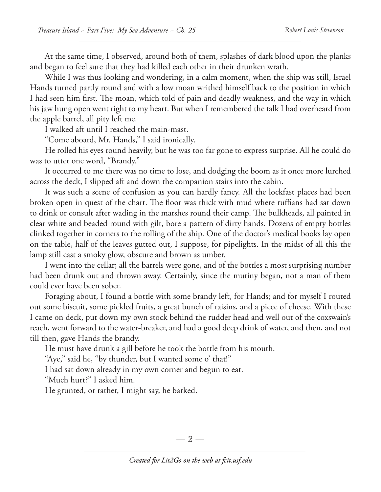At the same time, I observed, around both of them, splashes of dark blood upon the planks and began to feel sure that they had killed each other in their drunken wrath.

While I was thus looking and wondering, in a calm moment, when the ship was still, Israel Hands turned partly round and with a low moan writhed himself back to the position in which I had seen him first. The moan, which told of pain and deadly weakness, and the way in which his jaw hung open went right to my heart. But when I remembered the talk I had overheard from the apple barrel, all pity left me.

I walked aft until I reached the main-mast.

"Come aboard, Mr. Hands," I said ironically.

He rolled his eyes round heavily, but he was too far gone to express surprise. All he could do was to utter one word, "Brandy."

It occurred to me there was no time to lose, and dodging the boom as it once more lurched across the deck, I slipped aft and down the companion stairs into the cabin.

It was such a scene of confusion as you can hardly fancy. All the lockfast places had been broken open in quest of the chart. The floor was thick with mud where ruffians had sat down to drink or consult after wading in the marshes round their camp. The bulkheads, all painted in clear white and beaded round with gilt, bore a pattern of dirty hands. Dozens of empty bottles clinked together in corners to the rolling of the ship. One of the doctor's medical books lay open on the table, half of the leaves gutted out, I suppose, for pipelights. In the midst of all this the lamp still cast a smoky glow, obscure and brown as umber.

I went into the cellar; all the barrels were gone, and of the bottles a most surprising number had been drunk out and thrown away. Certainly, since the mutiny began, not a man of them could ever have been sober.

Foraging about, I found a bottle with some brandy left, for Hands; and for myself I routed out some biscuit, some pickled fruits, a great bunch of raisins, and a piece of cheese. With these I came on deck, put down my own stock behind the rudder head and well out of the coxswain's reach, went forward to the water-breaker, and had a good deep drink of water, and then, and not till then, gave Hands the brandy.

He must have drunk a gill before he took the bottle from his mouth.

"Aye," said he, "by thunder, but I wanted some o' that!"

I had sat down already in my own corner and begun to eat.

"Much hurt?" I asked him.

He grunted, or rather, I might say, he barked.

— 2 —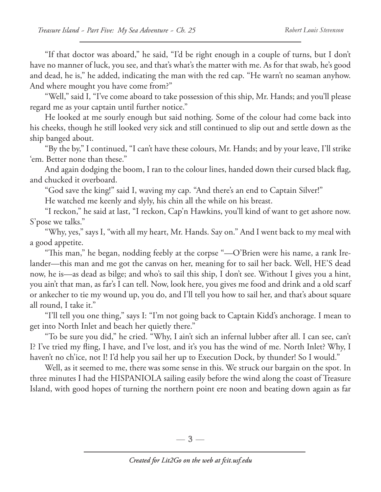"If that doctor was aboard," he said, "I'd be right enough in a couple of turns, but I don't have no manner of luck, you see, and that's what's the matter with me. As for that swab, he's good and dead, he is," he added, indicating the man with the red cap. "He warn't no seaman anyhow. And where mought you have come from?"

"Well," said I, "I've come aboard to take possession of this ship, Mr. Hands; and you'll please regard me as your captain until further notice."

He looked at me sourly enough but said nothing. Some of the colour had come back into his cheeks, though he still looked very sick and still continued to slip out and settle down as the ship banged about.

"By the by," I continued, "I can't have these colours, Mr. Hands; and by your leave, I'll strike 'em. Better none than these."

And again dodging the boom, I ran to the colour lines, handed down their cursed black flag, and chucked it overboard.

"God save the king!" said I, waving my cap. "And there's an end to Captain Silver!"

He watched me keenly and slyly, his chin all the while on his breast.

"I reckon," he said at last, "I reckon, Cap'n Hawkins, you'll kind of want to get ashore now. S'pose we talks."

"Why, yes," says I, "with all my heart, Mr. Hands. Say on." And I went back to my meal with a good appetite.

"This man," he began, nodding feebly at the corpse "—O'Brien were his name, a rank Irelander—this man and me got the canvas on her, meaning for to sail her back. Well, HE'S dead now, he is—as dead as bilge; and who's to sail this ship, I don't see. Without I gives you a hint, you ain't that man, as far's I can tell. Now, look here, you gives me food and drink and a old scarf or ankecher to tie my wound up, you do, and I'll tell you how to sail her, and that's about square all round, I take it."

"I'll tell you one thing," says I: "I'm not going back to Captain Kidd's anchorage. I mean to get into North Inlet and beach her quietly there."

"To be sure you did," he cried. "Why, I ain't sich an infernal lubber after all. I can see, can't I? I've tried my fling, I have, and I've lost, and it's you has the wind of me. North Inlet? Why, I haven't no ch'ice, not I! I'd help you sail her up to Execution Dock, by thunder! So I would."

Well, as it seemed to me, there was some sense in this. We struck our bargain on the spot. In three minutes I had the HISPANIOLA sailing easily before the wind along the coast of Treasure Island, with good hopes of turning the northern point ere noon and beating down again as far

 $-3-$